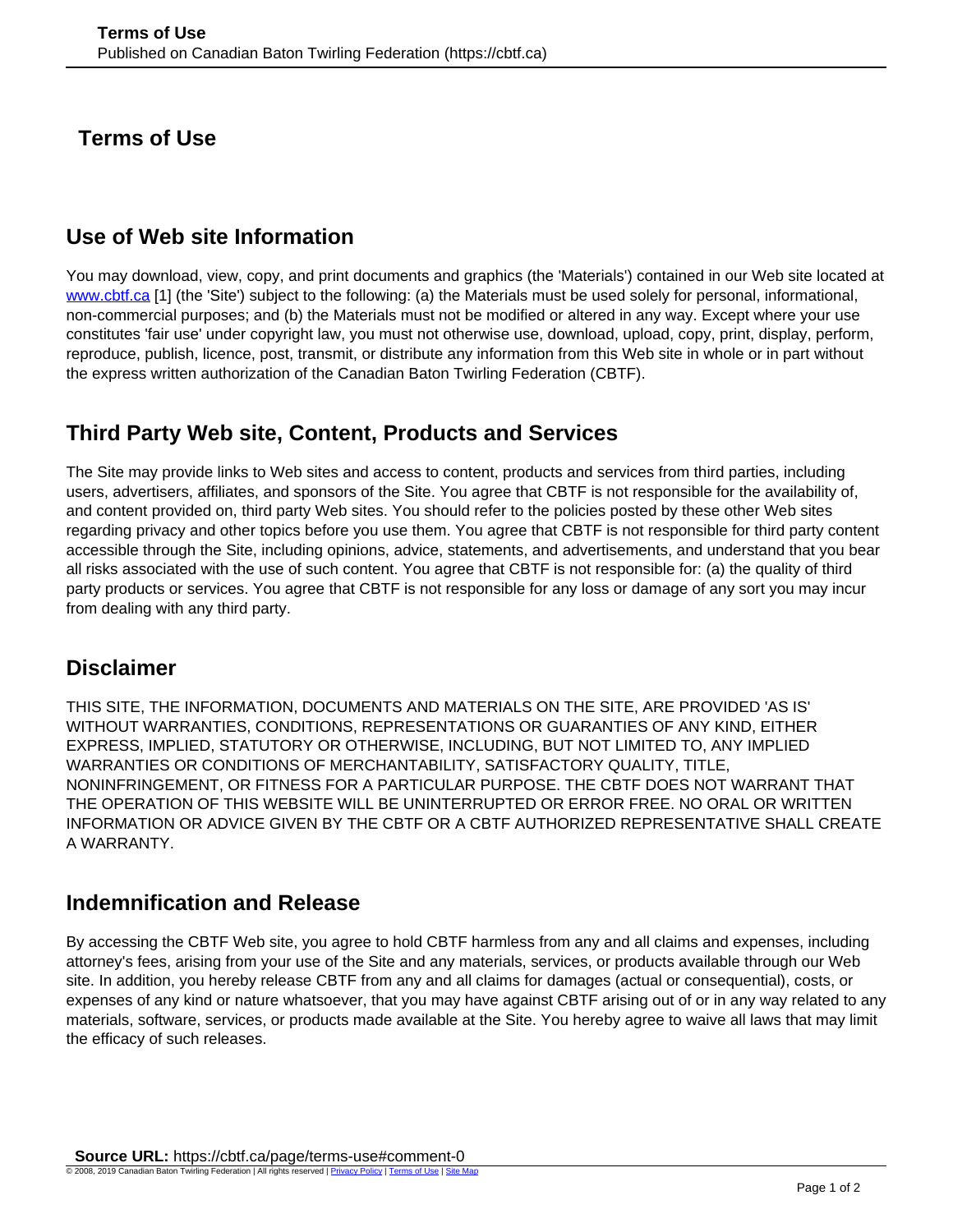**Terms of Use** 

## **Use of Web site Information**

You may download, view, copy, and print documents and graphics (the 'Materials') contained in our Web site located at [www.cbtf.ca](http://www.cbtf.ca) [1] (the 'Site') subject to the following: (a) the Materials must be used solely for personal, informational, non-commercial purposes; and (b) the Materials must not be modified or altered in any way. Except where your use constitutes 'fair use' under copyright law, you must not otherwise use, download, upload, copy, print, display, perform, reproduce, publish, licence, post, transmit, or distribute any information from this Web site in whole or in part without the express written authorization of the Canadian Baton Twirling Federation (CBTF).

## **Third Party Web site, Content, Products and Services**

The Site may provide links to Web sites and access to content, products and services from third parties, including users, advertisers, affiliates, and sponsors of the Site. You agree that CBTF is not responsible for the availability of, and content provided on, third party Web sites. You should refer to the policies posted by these other Web sites regarding privacy and other topics before you use them. You agree that CBTF is not responsible for third party content accessible through the Site, including opinions, advice, statements, and advertisements, and understand that you bear all risks associated with the use of such content. You agree that CBTF is not responsible for: (a) the quality of third party products or services. You agree that CBTF is not responsible for any loss or damage of any sort you may incur from dealing with any third party.

## **Disclaimer**

THIS SITE, THE INFORMATION, DOCUMENTS AND MATERIALS ON THE SITE, ARE PROVIDED 'AS IS' WITHOUT WARRANTIES, CONDITIONS, REPRESENTATIONS OR GUARANTIES OF ANY KIND, EITHER EXPRESS, IMPLIED, STATUTORY OR OTHERWISE, INCLUDING, BUT NOT LIMITED TO, ANY IMPLIED WARRANTIES OR CONDITIONS OF MERCHANTABILITY, SATISFACTORY QUALITY, TITLE, NONINFRINGEMENT, OR FITNESS FOR A PARTICULAR PURPOSE. THE CBTF DOES NOT WARRANT THAT THE OPERATION OF THIS WEBSITE WILL BE UNINTERRUPTED OR ERROR FREE. NO ORAL OR WRITTEN INFORMATION OR ADVICE GIVEN BY THE CBTF OR A CBTF AUTHORIZED REPRESENTATIVE SHALL CREATE A WARRANTY.

## **Indemnification and Release**

By accessing the CBTF Web site, you agree to hold CBTF harmless from any and all claims and expenses, including attorney's fees, arising from your use of the Site and any materials, services, or products available through our Web site. In addition, you hereby release CBTF from any and all claims for damages (actual or consequential), costs, or expenses of any kind or nature whatsoever, that you may have against CBTF arising out of or in any way related to any materials, software, services, or products made available at the Site. You hereby agree to waive all laws that may limit the efficacy of such releases.